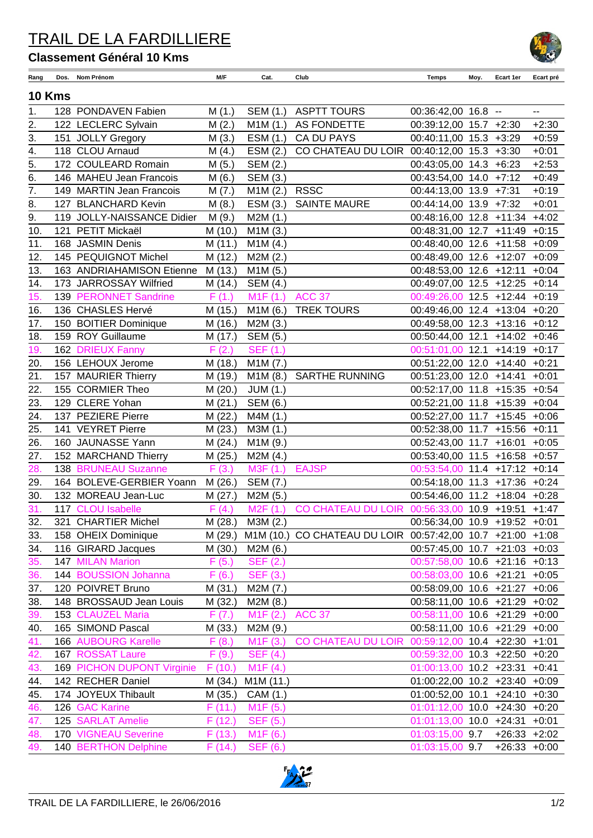## TRAIL DE LA FARDILLIERE

## **Classement Général 10 Kms**

| Rang          | Dos. | Nom Prénom                 | M/F     | Cat.                   | Club                                                       | Temps                           | Moy. | Ecart 1er        | Ecart pré |  |
|---------------|------|----------------------------|---------|------------------------|------------------------------------------------------------|---------------------------------|------|------------------|-----------|--|
| <b>10 Kms</b> |      |                            |         |                        |                                                            |                                 |      |                  |           |  |
| 1.            |      | 128 PONDAVEN Fabien        | M(1.)   | SEM (1.)               | <b>ASPTT TOURS</b>                                         | 00:36:42,00 16.8 --             |      |                  | $-$       |  |
| 2.            |      | 122 LECLERC Sylvain        | M(2.)   | M1M(1.)                | AS FONDETTE                                                | 00:39:12,00 15.7 +2:30          |      |                  | $+2:30$   |  |
| 3.            |      | 151 JOLLY Gregory          | M(3.)   | ESM (1.)               | <b>CA DU PAYS</b>                                          | 00:40:11,00 15.3 +3:29          |      |                  | $+0:59$   |  |
| 4.            |      | 118 CLOU Arnaud            | M(4.)   | ESM (2.)               | CO CHATEAU DU LOIR 00:40:12,00 15.3 +3:30                  |                                 |      |                  | $+0:01$   |  |
| 5.            |      | 172 COULEARD Romain        | M(5.)   | SEM (2.)               |                                                            | 00:43:05,00 14.3 +6:23          |      |                  | $+2:53$   |  |
| 6.            |      | 146 MAHEU Jean Francois    | M(6.)   | SEM (3.)               |                                                            | 00:43:54,00 14.0 +7:12          |      |                  | $+0:49$   |  |
| 7.            |      | 149 MARTIN Jean Francois   | M(7.)   | M1M(2.)                | <b>RSSC</b>                                                | 00:44:13,00 13.9 +7:31          |      |                  | $+0:19$   |  |
| 8.            |      | 127 BLANCHARD Kevin        | M(8.)   | ESM (3.)               | <b>SAINTE MAURE</b>                                        | 00:44:14,00 13.9 +7:32          |      |                  | $+0:01$   |  |
| 9.            |      | 119 JOLLY-NAISSANCE Didier | M(9.)   | M2M(1.)                |                                                            | 00:48:16,00 12.8 +11:34 +4:02   |      |                  |           |  |
| 10.           |      | 121 PETIT Mickaël          | M (10.) | M1M(3.)                |                                                            | 00:48:31,00 12.7 +11:49 +0:15   |      |                  |           |  |
| 11.           |      | 168 JASMIN Denis           | M(11.)  | M1M (4.)               |                                                            | 00:48:40,00 12.6 +11:58         |      |                  | $+0:09$   |  |
| 12.           |      | 145 PEQUIGNOT Michel       | M (12.) | M2M(2.)                |                                                            | 00:48:49,00 12.6 +12:07 +0:09   |      |                  |           |  |
| 13.           |      | 163 ANDRIAHAMISON Etienne  | M (13.) | M1M(5.)                |                                                            | 00:48:53,00 12.6 +12:11         |      |                  | $+0:04$   |  |
| 14.           |      | 173 JARROSSAY Wilfried     | M (14.) | <b>SEM (4.)</b>        |                                                            | 00:49:07,00 12.5 +12:25 +0:14   |      |                  |           |  |
| 15.           |      | 139 PERONNET Sandrine      | F(1.)   | M <sub>1</sub> F (1.)  | <b>ACC 37</b>                                              | 00:49:26,00 12.5 +12:44 +0:19   |      |                  |           |  |
| 16.           |      | 136 CHASLES Hervé          | M (15.) | M1M(6.)                | <b>TREK TOURS</b>                                          | 00:49:46,00 12.4 +13:04 +0:20   |      |                  |           |  |
| 17.           |      | 150 BOITIER Dominique      | M (16.) | M2M(3.)                |                                                            | 00:49:58,00 12.3 +13:16 +0:12   |      |                  |           |  |
|               |      | 159 ROY Guillaume          |         |                        |                                                            | 00:50:44,00 12.1 +14:02 +0:46   |      |                  |           |  |
| 18.           |      |                            | M (17.) | SEM (5.)               |                                                            | 00:51:01,00 12.1 +14:19 +0:17   |      |                  |           |  |
| 19.           |      | 162 DRIEUX Fanny           | F(2.)   | SEF (1.)               |                                                            |                                 |      |                  |           |  |
| 20.           |      | 156 LEHOUX Jerome          | M (18.) | M1M(7.)                |                                                            | 00:51:22,00 12.0 +14:40 +0:21   |      |                  |           |  |
| 21.           |      | 157 MAURIER Thierry        | M (19.) | M1M(8.)                | <b>SARTHE RUNNING</b>                                      | 00:51:23,00 12.0 +14:41         |      |                  | $+0:01$   |  |
| 22.           |      | 155 CORMIER Theo           | M(20.)  | <b>JUM (1.)</b>        |                                                            | 00:52:17,00 11.8 +15:35 +0:54   |      |                  |           |  |
| 23.           |      | 129 CLERE Yohan            | M(21.)  | SEM (6.)               |                                                            | 00:52:21,00 11.8 +15:39 +0:04   |      |                  |           |  |
| 24.           |      | 137 PEZIERE Pierre         | M (22.) | M4M (1.)               |                                                            | 00:52:27,00 11.7 +15:45 +0:06   |      |                  |           |  |
| 25.           |      | 141 VEYRET Pierre          | M(23.)  | M3M (1.)               |                                                            | 00:52:38,00 11.7 +15:56 +0:11   |      |                  |           |  |
| 26.           |      | 160 JAUNASSE Yann          | M(24.)  | M1M (9.)               |                                                            | 00:52:43,00 11.7 +16:01 +0:05   |      |                  |           |  |
| 27.           |      | 152 MARCHAND Thierry       | M (25.) | M2M(4.)                |                                                            | 00:53:40,00 11.5 +16:58 +0:57   |      |                  |           |  |
| 28.           |      | 138 BRUNEAU Suzanne        | F(3.)   | M3F (1.)               | <b>EAJSP</b>                                               | 00:53:54,00 11.4 +17:12 +0:14   |      |                  |           |  |
| 29.           |      | 164 BOLEVE-GERBIER Yoann   | M (26.) | SEM (7.)               |                                                            | 00:54:18,00 11.3 +17:36 +0:24   |      |                  |           |  |
| 30.           |      | 132 MOREAU Jean-Luc        | M (27.) | M2M (5.)               |                                                            | 00:54:46,00 11.2 +18:04 +0:28   |      |                  |           |  |
| 31.           |      | 117 CLOU Isabelle          | F(4.)   | M2F(1.)                | <b>CO CHATEAU DU LOIR</b>                                  | 00:56:33,00 10.9 +19:51 +1:47   |      |                  |           |  |
| 32.           |      | 321 CHARTIER Michel        | M (28.) | M3M (2.)               |                                                            | 00:56:34,00 10.9 +19:52 +0:01   |      |                  |           |  |
| 33.           |      | 158 OHEIX Dominique        | M (29.) |                        | M1M (10.) CO CHATEAU DU LOIR 00:57:42,00 10.7 +21:00 +1:08 |                                 |      |                  |           |  |
| 34.           |      | 116 GIRARD Jacques         | M (30.) | M2M(6.)                |                                                            | 00:57:45,00 10.7 +21:03 +0:03   |      |                  |           |  |
| 35.           |      | 147 MILAN Marion           | F(5.)   | SEF (2.)               |                                                            | 00:57:58,00 10.6 +21:16 +0:13   |      |                  |           |  |
| 36.           |      | 144 BOUSSION Johanna       | F(6.)   | SEF (3.)               |                                                            | 00:58:03,00 10.6 +21:21 +0:05   |      |                  |           |  |
| 37.           |      | 120 POIVRET Bruno          | M (31.) | M2M (7.)               |                                                            | 00:58:09,00 10.6 +21:27 +0:06   |      |                  |           |  |
| 38.           |      | 148 BROSSAUD Jean Louis    | M (32.) | M2M(8.)                |                                                            | 00:58:11,00 10.6 +21:29 +0:02   |      |                  |           |  |
| 39.           |      | 153 CLAUZEL Maria          | F(7.)   | M1F(2.)                | <b>ACC 37</b>                                              | 00:58:11,00 10.6 +21:29 +0:00   |      |                  |           |  |
| 40.           |      | 165 SIMOND Pascal          | M (33.) | M2M (9.)               |                                                            | 00:58:11,00 10.6 +21:29 +0:00   |      |                  |           |  |
| 41.           |      | <b>166 AUBOURG Karelle</b> | F(8.)   | M1F(3.)                | <b>CO CHATEAU DU LOIR</b>                                  | 00:59:12,00 10.4 +22:30 +1:01   |      |                  |           |  |
| 42.           |      | 167 ROSSAT Laure           | F(9.)   | <b>SEF (4.)</b>        |                                                            | 00:59:32,00 10.3 +22:50 +0:20   |      |                  |           |  |
| 43.           |      | 169 PICHON DUPONT Virginie | F(10.)  | M <sub>1</sub> F (4.)  |                                                            | $01:00:13,00$ 10.2 +23:31 +0:41 |      |                  |           |  |
| 44.           |      | 142 RECHER Daniel          | M (34.) | M <sub>1</sub> M (11.) |                                                            | 01:00:22,00 10.2 +23:40 +0:09   |      |                  |           |  |
| 45.           |      | 174 JOYEUX Thibault        | M (35.) | CAM (1.)               |                                                            | 01:00:52,00 10.1 +24:10 +0:30   |      |                  |           |  |
| 46.           |      | 126 GAC Karine             | F(11.)  | M <sub>1</sub> F (5.)  |                                                            | $01:01:12,00$ 10.0 +24:30 +0:20 |      |                  |           |  |
| 47.           |      | 125 SARLAT Amelie          | F(12.)  | <b>SEF (5.)</b>        |                                                            | $01:01:13,00$ 10.0 +24:31 +0:01 |      |                  |           |  |
| 48.           |      | 170 VIGNEAU Severine       | F(13.)  | M1F(6.)                |                                                            | 01:03:15,00 9.7                 |      | $+26:33$ $+2:02$ |           |  |
| 49.           |      | 140 BERTHON Delphine       | F(14.)  | <b>SEF (6.)</b>        |                                                            | 01:03:15,00 9.7                 |      | $+26:33 +0:00$   |           |  |